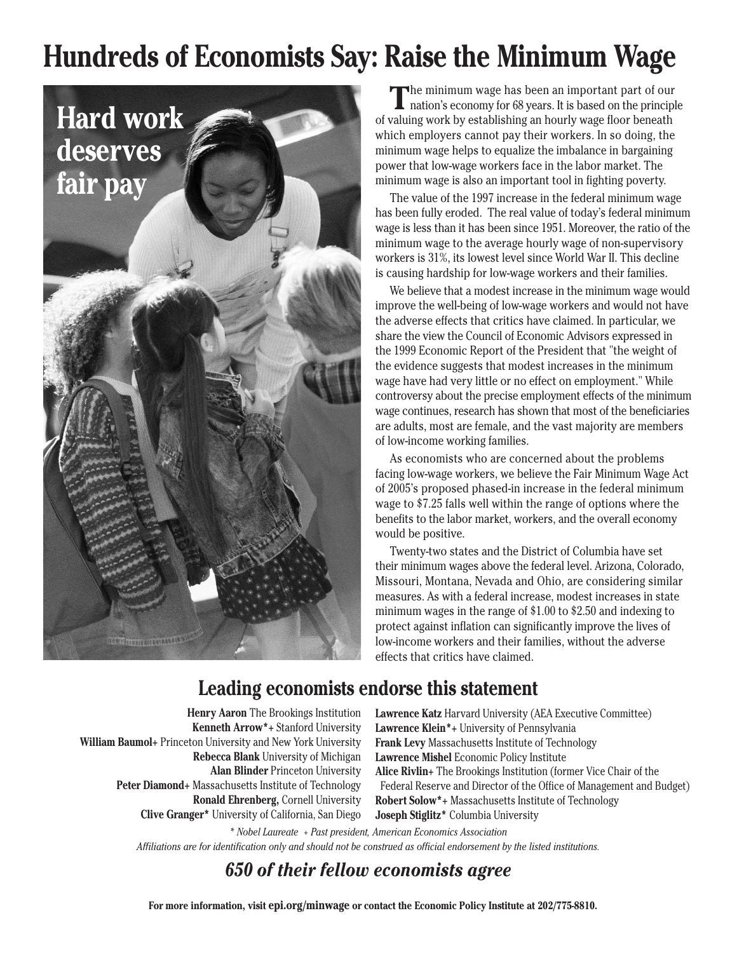## **Hundreds of Economists Say: Raise the Minimum Wage**



The minimum wage has been an important part of our nation's economy for 68 years. It is based on the principle of valuing work by establishing an hourly wage floor beneath which employers cannot pay their workers. In so doing, the minimum wage helps to equalize the imbalance in bargaining power that low-wage workers face in the labor market. The minimum wage is also an important tool in fighting poverty.

The value of the 1997 increase in the federal minimum wage has been fully eroded. The real value of today's federal minimum wage is less than it has been since 1951. Moreover, the ratio of the minimum wage to the average hourly wage of non-supervisory workers is 31%, its lowest level since World War II. This decline is causing hardship for low-wage workers and their families.

We believe that a modest increase in the minimum wage would improve the well-being of low-wage workers and would not have the adverse effects that critics have claimed. In particular, we share the view the Council of Economic Advisors expressed in the 1999 Economic Report of the President that "the weight of the evidence suggests that modest increases in the minimum wage have had very little or no effect on employment." While controversy about the precise employment effects of the minimum wage continues, research has shown that most of the beneficiaries are adults, most are female, and the vast majority are members of low-income working families.

As economists who are concerned about the problems facing low-wage workers, we believe the Fair Minimum Wage Act of 2005's proposed phased-in increase in the federal minimum wage to \$7.25 falls well within the range of options where the benefits to the labor market, workers, and the overall economy would be positive.

Twenty-two states and the District of Columbia have set their minimum wages above the federal level. Arizona, Colorado, Missouri, Montana, Nevada and Ohio, are considering similar measures. As with a federal increase, modest increases in state minimum wages in the range of \$1.00 to \$2.50 and indexing to protect against inflation can significantly improve the lives of low-income workers and their families, without the adverse effects that critics have claimed.

## **Leading economists endorse this statement**

**Henry Aaron** The Brookings Institution **Kenneth Arrow\*+** Stanford University **William Baumol+** Princeton University and New York University **Rebecca Blank** University of Michigan **Alan Blinder** Princeton University **Peter Diamond+** Massachusetts Institute of Technology **Ronald Ehrenberg,** Cornell University **Clive Granger\*** University of California, San Diego

**Lawrence Katz** Harvard University (AEA Executive Committee) **Lawrence Klein\*+** University of Pennsylvania **Frank Levy** Massachusetts Institute of Technology **Lawrence Mishel** Economic Policy Institute **Alice Rivlin+** The Brookings Institution (former Vice Chair of the Federal Reserve and Director of the Office of Management and Budget) **Robert Solow\*+** Massachusetts Institute of Technology **Joseph Stiglitz\*** Columbia University

*\* Nobel Laureate + Past president, American Economics Association*

*Affiliations are for identification only and should not be construed as official endorsement by the listed institutions.*

## *650 of their fellow economists agree*

 **For more information, visit epi.org/minwage or contact the Economic Policy Institute at 202/775-8810.**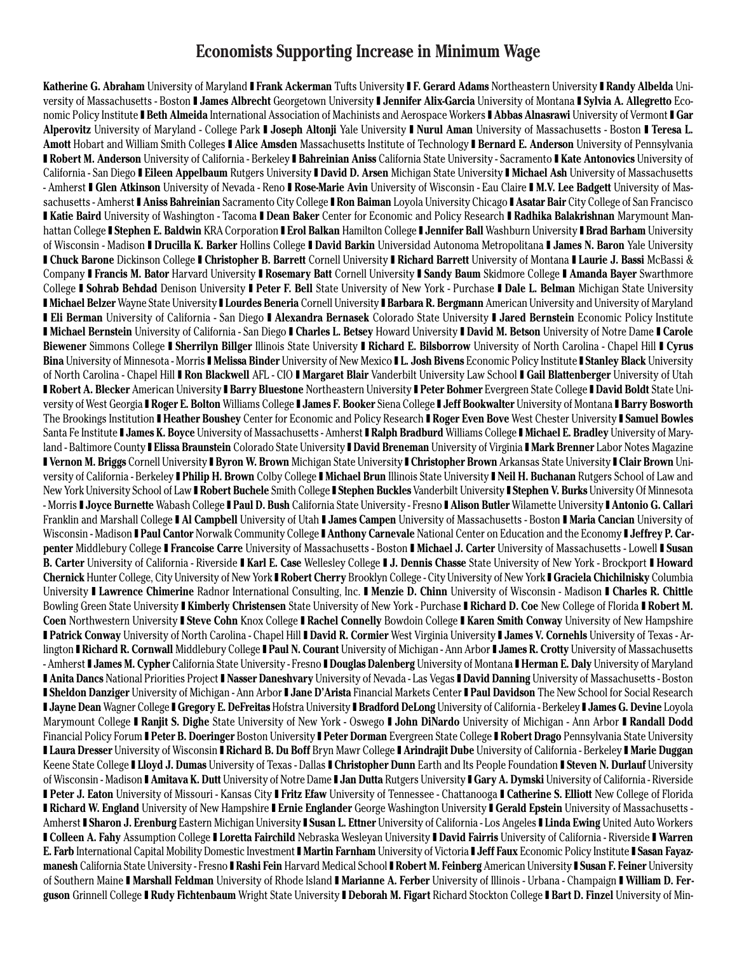## **Economists Supporting Increase in Minimum Wage**

**Katherine G. Abraham** University of Maryland ❚ **Frank Ackerman** Tufts University ❚ **F. Gerard Adams** Northeastern University ❚ **Randy Albelda** University of Massachusetts - Boston ❚ **James Albrecht** Georgetown University ❚ **Jennifer Alix-Garcia** University of Montana ❚ **Sylvia A. Allegretto** Economic Policy Institute ❚ **Beth Almeida** International Association of Machinists and Aerospace Workers ❚ **Abbas Alnasrawi** University of Vermont ❚ **Gar Alperovitz** University of Maryland - College Park ❚ **Joseph Altonji** Yale University ❚ **Nurul Aman** University of Massachusetts - Boston ❚ **Teresa L. Amott** Hobart and William Smith Colleges ❚ **Alice Amsden** Massachusetts Institute of Technology ❚ **Bernard E. Anderson** University of Pennsylvania ❚ **Robert M. Anderson** University of California - Berkeley ❚ **Bahreinian Aniss** California State University - Sacramento ❚ **Kate Antonovics** University of California - San Diego ❚ **Eileen Appelbaum** Rutgers University ❚ **David D. Arsen** Michigan State University ❚ **Michael Ash** University of Massachusetts - Amherst ❚ **Glen Atkinson** University of Nevada - Reno ❚ **Rose-Marie Avin** University of Wisconsin - Eau Claire ❚ **M.V. Lee Badgett** University of Massachusetts - Amherst ❚ **Aniss Bahreinian** Sacramento City College ❚ **Ron Baiman** Loyola University Chicago ❚ **Asatar Bair** City College of San Francisco ■ Katie Baird University of Washington - Tacoma ■ Dean Baker Center for Economic and Policy Research ■ Radhika Balakrishnan Marymount Manhattan College ❚ **Stephen E. Baldwin** KRA Corporation ❚ **Erol Balkan** Hamilton College ❚ **Jennifer Ball** Washburn University ❚ **Brad Barham** University of Wisconsin - Madison ❚ **Drucilla K. Barker** Hollins College ❚ **David Barkin** Universidad Autonoma Metropolitana ❚ **James N. Baron** Yale University ❚ **Chuck Barone** Dickinson College ❚ **Christopher B. Barrett** Cornell University ❚ **Richard Barrett** University of Montana ❚ **Laurie J. Bassi** McBassi & Company ❚ **Francis M. Bator** Harvard University ❚ **Rosemary Batt** Cornell University ❚ **Sandy Baum** Skidmore College ❚ **Amanda Bayer** Swarthmore College ❚ **Sohrab Behdad** Denison University ❚ **Peter F. Bell** State University of New York - Purchase ❚ **Dale L. Belman** Michigan State University ■ Michael Belzer Wayne State University ■ Lourdes Beneria Cornell University ■ Barbara R. Bergmann American University and University of Maryland ❚ **Eli Berman** University of California - San Diego ❚ **Alexandra Bernasek** Colorado State University ❚ **Jared Bernstein** Economic Policy Institute ❚ **Michael Bernstein** University of California - San Diego ❚ **Charles L. Betsey** Howard University ❚ **David M. Betson** University of Notre Dame ❚ **Carole Biewener** Simmons College ❚ **Sherrilyn Billger** Illinois State University ❚ **Richard E. Bilsborrow** University of North Carolina - Chapel Hill ❚ **Cyrus Bina** University of Minnesota - Morris ❚ **Melissa Binder** University of New Mexico ❚ **L. Josh Bivens** Economic Policy Institute ❚ **Stanley Black** University of North Carolina - Chapel Hill ❚ **Ron Blackwell** AFL - CIO ❚ **Margaret Blair** Vanderbilt University Law School ❚ **Gail Blattenberger** University of Utah ❚ **Robert A. Blecker** American University ❚ **Barry Bluestone** Northeastern University ❚ **Peter Bohmer** Evergreen State College ❚ **David Boldt** State University of West Georgia ❚ **Roger E. Bolton** Williams College ❚ **James F. Booker** Siena College ❚ **Jeff Bookwalter** University of Montana ❚ **Barry Bosworth** The Brookings Institution ❚ **Heather Boushey** Center for Economic and Policy Research ❚ **Roger Even Bove** West Chester University ❚ **Samuel Bowles** Santa Fe Institute ❚ **James K. Boyce** University of Massachusetts - Amherst ❚ **Ralph Bradburd** Williams College ❚ **Michael E. Bradley** University of Maryland - Baltimore County ❚ **Elissa Braunstein** Colorado State University ❚ **David Breneman** University of Virginia ❚ **Mark Brenner** Labor Notes Magazine ❚ **Vernon M. Briggs** Cornell University ❚ **Byron W. Brown** Michigan State University ❚ **Christopher Brown** Arkansas State University ❚ **Clair Brown** University of California - Berkeley ❚ **Philip H. Brown** Colby College ❚ **Michael Brun** Illinois State University ❚ **Neil H. Buchanan** Rutgers School of Law and New York University School of Law ❚ **Robert Buchele** Smith College ❚ **Stephen Buckles** Vanderbilt University ❚ **Stephen V. Burks** University Of Minnesota - Morris ❚ **Joyce Burnette** Wabash College ❚ **Paul D. Bush** California State University - Fresno ❚ **Alison Butler** Wilamette University ❚ **Antonio G. Callari** Franklin and Marshall College ❚ **Al Campbell** University of Utah ❚ **James Campen** University of Massachusetts - Boston ❚ **Maria Cancian** University of Wisconsin - Madison ❚ **Paul Cantor** Norwalk Community College ❚ **Anthony Carnevale** National Center on Education and the Economy ❚ **Jeffrey P. Carpenter** Middlebury College ❚ **Francoise Carre** University of Massachusetts - Boston ❚ **Michael J. Carter** University of Massachusetts - Lowell ❚ **Susan B. Carter** University of California - Riverside ❚ **Karl E. Case** Wellesley College ❚ **J. Dennis Chasse** State University of New York - Brockport ❚ **Howard Chernick** Hunter College, City University of New York ❚ **Robert Cherry** Brooklyn College - City University of New York ❚ **Graciela Chichilnisky** Columbia University ❚ **Lawrence Chimerine** Radnor International Consulting, Inc. ❚ **Menzie D. Chinn** University of Wisconsin - Madison ❚ **Charles R. Chittle** Bowling Green State University **■ Kimberly Christensen** State University of New York - Purchase ■ Richard D. Coe New College of Florida ■ Robert M. **Coen** Northwestern University ❚ **Steve Cohn** Knox College ❚ **Rachel Connelly** Bowdoin College ❚ **Karen Smith Conway** University of New Hampshire ❚ **Patrick Conway** University of North Carolina - Chapel Hill ❚ **David R. Cormier** West Virginia University ❚ **James V. Cornehls** University of Texas - Arlington ❚ **Richard R. Cornwall** Middlebury College ❚ **Paul N. Courant** University of Michigan - Ann Arbor ❚ **James R. Crotty** University of Massachusetts - Amherst ❚ **James M. Cypher** California State University - Fresno ❚ **Douglas Dalenberg** University of Montana ❚ **Herman E. Daly** University of Maryland ■ Anita Dancs National Priorities Project ■ Nasser Daneshvary University of Nevada - Las Vegas ■ David Danning University of Massachusetts - Boston ❚ **Sheldon Danziger** University of Michigan - Ann Arbor ❚ **Jane D'Arista** Financial Markets Center ❚ **Paul Davidson** The New School for Social Research ❚ **Jayne Dean** Wagner College ❚ **Gregory E. DeFreitas** Hofstra University ❚ **Bradford DeLong** University of California - Berkeley ❚ **James G. Devine** Loyola Marymount College ❚ **Ranjit S. Dighe** State University of New York - Oswego ❚ **John DiNardo** University of Michigan - Ann Arbor ❚ **Randall Dodd** Financial Policy Forum ❚ **Peter B. Doeringer** Boston University ❚ **Peter Dorman** Evergreen State College ❚ **Robert Drago** Pennsylvania State University ❚ **Laura Dresser** University of Wisconsin ❚ **Richard B. Du Boff** Bryn Mawr College ❚ **Arindrajit Dube** University of California - Berkeley ❚ **Marie Duggan** Keene State College ❚ **Lloyd J. Dumas** University of Texas - Dallas ❚ **Christopher Dunn** Earth and Its People Foundation ❚ **Steven N. Durlauf** University of Wisconsin - Madison ❚ **Amitava K. Dutt** University of Notre Dame ❚ **Jan Dutta** Rutgers University ❚ **Gary A. Dymski** University of California - Riverside ❚ **Peter J. Eaton** University of Missouri - Kansas City ❚ **Fritz Efaw** University of Tennessee - Chattanooga ❚ **Catherine S. Elliott** New College of Florida ■ Richard W. England University of New Hampshire ■ Ernie Englander George Washington University ■ Gerald Epstein University of Massachusetts -Amherst ❚ **Sharon J. Erenburg** Eastern Michigan University ❚ **Susan L. Ettner** University of California - Los Angeles ❚ **Linda Ewing** United Auto Workers ❚ **Colleen A. Fahy** Assumption College ❚ **Loretta Fairchild** Nebraska Wesleyan University ❚ **David Fairris** University of California - Riverside ❚ **Warren E. Farb** International Capital Mobility Domestic Investment ❚ **Martin Farnham** University of Victoria ❚ **Jeff Faux** Economic Policy Institute ❚ **Sasan Fayazmanesh** California State University - Fresno ❚ **Rashi Fein** Harvard Medical School ❚ **Robert M. Feinberg** American University ❚ **Susan F. Feiner** University of Southern Maine ❚ **Marshall Feldman** University of Rhode Island ❚ **Marianne A. Ferber** University of Illinois - Urbana - Champaign ❚ **William D. Ferguson** Grinnell College ❚ **Rudy Fichtenbaum** Wright State University ❚ **Deborah M. Figart** Richard Stockton College ❚ **Bart D. Finzel** University of Min-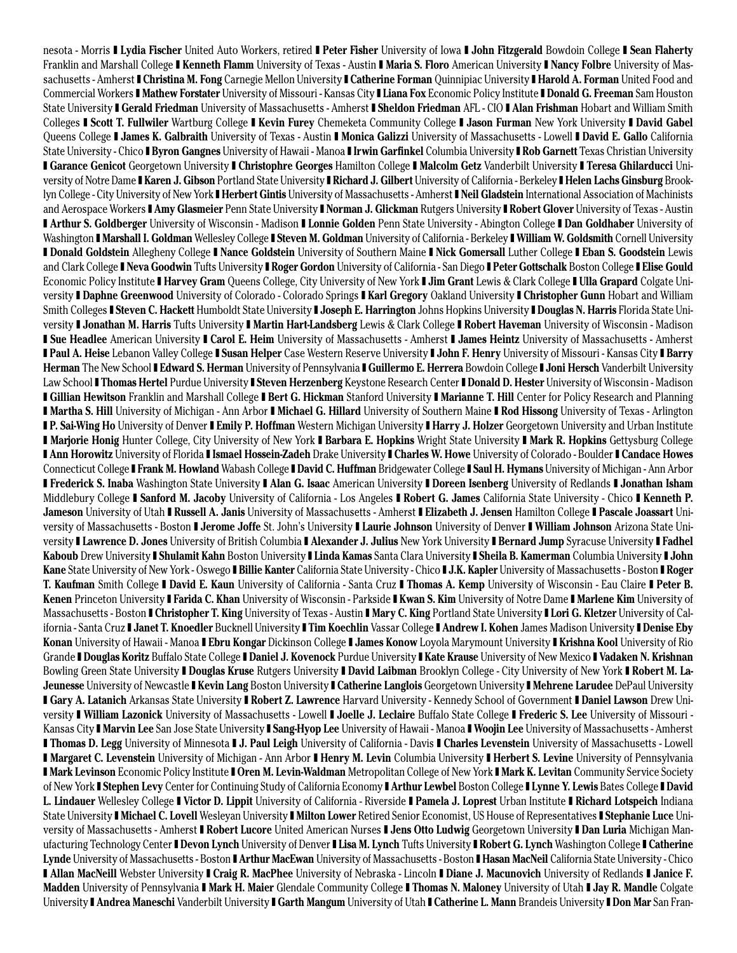nesota - Morris ❚ **Lydia Fischer** United Auto Workers, retired ❚ **Peter Fisher** University of Iowa ❚ **John Fitzgerald** Bowdoin College ❚ **Sean Flaherty** Franklin and Marshall College ❚ **Kenneth Flamm** University of Texas - Austin ❚ **Maria S. Floro** American University ❚ **Nancy Folbre** University of Massachusetts - Amherst ❚ **Christina M. Fong** Carnegie Mellon University ❚ **Catherine Forman** Quinnipiac University ❚ **Harold A. Forman** United Food and Commercial Workers ❚ **Mathew Forstater** University of Missouri - Kansas City ❚ **Liana Fox** Economic Policy Institute ❚ **Donald G. Freeman** Sam Houston State University ❚ **Gerald Friedman** University of Massachusetts - Amherst ❚ **Sheldon Friedman** AFL - CIO ❚ **Alan Frishman** Hobart and William Smith Colleges ❚ **Scott T. Fullwiler** Wartburg College ❚ **Kevin Furey** Chemeketa Community College ❚ **Jason Furman** New York University ❚ **David Gabel** Queens College ❚ **James K. Galbraith** University of Texas - Austin ❚ **Monica Galizzi** University of Massachusetts - Lowell ❚ **David E. Gallo** California State University - Chico ❚ **Byron Gangnes** University of Hawaii - Manoa ❚ **Irwin Garfinkel** Columbia University ❚ **Rob Garnett** Texas Christian University ❚ **Garance Genicot** Georgetown University ❚ **Christophre Georges** Hamilton College ❚ **Malcolm Getz** Vanderbilt University ❚ **Teresa Ghilarducci** University of Notre Dame ❚ **Karen J. Gibson** Portland State University ❚ **Richard J. Gilbert** University of California - Berkeley ❚ **Helen Lachs Ginsburg** Brooklyn College - City University of New York ❚ **Herbert Gintis** University of Massachusetts - Amherst ❚ **Neil Gladstein** International Association of Machinists and Aerospace Workers ❚ **Amy Glasmeier** Penn State University ❚ **Norman J. Glickman** Rutgers University ❚ **Robert Glover** University of Texas - Austin ■ Arthur S. Goldberger University of Wisconsin - Madison ■ Lonnie Golden Penn State University - Abington College ■ Dan Goldhaber University of Washington ❚ **Marshall I. Goldman** Wellesley College ❚ **Steven M. Goldman** University of California - Berkeley ❚ **William W. Goldsmith** Cornell University ❚ **Donald Goldstein** Allegheny College ❚ **Nance Goldstein** University of Southern Maine ❚ **Nick Gomersall** Luther College ❚ **Eban S. Goodstein** Lewis and Clark College ❚ **Neva Goodwin** Tufts University ❚ **Roger Gordon** University of California - San Diego ❚ **Peter Gottschalk** Boston College ❚ **Elise Gould** Economic Policy Institute ❚ **Harvey Gram** Queens College, City University of New York ❚ **Jim Grant** Lewis & Clark College ❚ **Ulla Grapard** Colgate University ❚ **Daphne Greenwood** University of Colorado - Colorado Springs ❚ **Karl Gregory** Oakland University ❚ **Christopher Gunn** Hobart and William Smith Colleges ❚ **Steven C. Hackett** Humboldt State University ❚ **Joseph E. Harrington** Johns Hopkins University ❚ **Douglas N. Harris** Florida State University ❚ **Jonathan M. Harris** Tufts University ❚ **Martin Hart-Landsberg** Lewis & Clark College ❚ **Robert Haveman** University of Wisconsin - Madison ❚ **Sue Headlee** American University ❚ **Carol E. Heim** University of Massachusetts - Amherst ❚ **James Heintz** University of Massachusetts - Amherst ❚ **Paul A. Heise** Lebanon Valley College ❚ **Susan Helper** Case Western Reserve University ❚ **John F. Henry** University of Missouri - Kansas City ❚ **Barry Herman** The New School ❚ **Edward S. Herman** University of Pennsylvania ❚ **Guillermo E. Herrera** Bowdoin College ❚ **Joni Hersch** Vanderbilt University Law School ❚ **Thomas Hertel** Purdue University ❚ **Steven Herzenberg** Keystone Research Center ❚ **Donald D. Hester** University of Wisconsin - Madison ■ Gillian Hewitson Franklin and Marshall College ■ Bert G. Hickman Stanford University ■ Marianne T. Hill Center for Policy Research and Planning ■ Martha S. Hill University of Michigan - Ann Arbor ■ Michael G. Hillard University of Southern Maine ■ Rod Hissong University of Texas - Arlington ■ P. Sai-Wing Ho University of Denver ■ **Emily P. Hoffman** Western Michigan University ■ Harry J. Holzer Georgetown University and Urban Institute ❚ **Marjorie Honig** Hunter College, City University of New York ❚ **Barbara E. Hopkins** Wright State University ❚ **Mark R. Hopkins** Gettysburg College ❚ **Ann Horowitz** University of Florida ❚ **Ismael Hossein-Zadeh** Drake University ❚ **Charles W. Howe** University of Colorado - Boulder ❚ **Candace Howes** Connecticut College ❚ **Frank M. Howland** Wabash College ❚ **David C. Huffman** Bridgewater College ❚ **Saul H. Hymans** University of Michigan - Ann Arbor ❚ **Frederick S. Inaba** Washington State University ❚ **Alan G. Isaac** American University ❚ **Doreen Isenberg** University of Redlands ❚ **Jonathan Isham** Middlebury College ❚ **Sanford M. Jacoby** University of California - Los Angeles ❚ **Robert G. James** California State University - Chico ❚ **Kenneth P. Jameson** University of Utah ❚ **Russell A. Janis** University of Massachusetts - Amherst ❚ **Elizabeth J. Jensen** Hamilton College ❚ **Pascale Joassart** University of Massachusetts - Boston ❚ **Jerome Joffe** St. John's University ❚ **Laurie Johnson** University of Denver ❚ **William Johnson** Arizona State University ❚ **Lawrence D. Jones** University of British Columbia ❚ **Alexander J. Julius** New York University ❚ **Bernard Jump** Syracuse University ❚ **Fadhel Kaboub** Drew University ❚ **Shulamit Kahn** Boston University ❚ **Linda Kamas** Santa Clara University ❚ **Sheila B. Kamerman** Columbia University ❚ **John Kane** State University of New York - Oswego ❚ **Billie Kanter** California State University - Chico ❚ **J.K. Kapler** University of Massachusetts - Boston ❚ **Roger T. Kaufman** Smith College ❚ **David E. Kaun** University of California - Santa Cruz ❚ **Thomas A. Kemp** University of Wisconsin - Eau Claire ❚ **Peter B. Kenen** Princeton University ❚ **Farida C. Khan** University of Wisconsin - Parkside ❚ **Kwan S. Kim** University of Notre Dame ❚ **Marlene Kim** University of Massachusetts - Boston ❚ **Christopher T. King** University of Texas - Austin ❚ **Mary C. King** Portland State University ❚ **Lori G. Kletzer** University of California - Santa Cruz ❚ **Janet T. Knoedler** Bucknell University ❚ **Tim Koechlin** Vassar College ❚ **Andrew I. Kohen** James Madison University ❚ **Denise Eby Konan** University of Hawaii - Manoa ❚ **Ebru Kongar** Dickinson College ❚ **James Konow** Loyola Marymount University ❚ **Krishna Kool** University of Rio Grande ❚ **Douglas Koritz** Buffalo State College ❚ **Daniel J. Kovenock** Purdue University ❚ **Kate Krause** University of New Mexico ❚ **Vadaken N. Krishnan** Bowling Green State University ❚ **Douglas Kruse** Rutgers University ❚ **David Laibman** Brooklyn College - City University of New York ❚ **Robert M. La-Jeunesse** University of Newcastle ❚ **Kevin Lang** Boston University ❚ **Catherine Langlois** Georgetown University ❚ **Mehrene Larudee** DePaul University ❚ **Gary A. Latanich** Arkansas State University ❚ **Robert Z. Lawrence** Harvard University - Kennedy School of Government ❚ **Daniel Lawson** Drew University ❚ **William Lazonick** University of Massachusetts - Lowell ❚ **Joelle J. Leclaire** Buffalo State College ❚ **Frederic S. Lee** University of Missouri - Kansas City ❚ **Marvin Lee** San Jose State University ❚ **Sang-Hyop Lee** University of Hawaii - Manoa ❚ **Woojin Lee** University of Massachusetts - Amherst ■ **Thomas D. Legg** University of Minnesota ■ **J. Paul Leigh** University of California - Davis ■ Charles Levenstein University of Massachusetts - Lowell ■ Margaret C. Levenstein University of Michigan - Ann Arbor ■ Henry M. Levin Columbia University ■ Herbert S. Levine University of Pennsylvania ■ Mark Levinson Economic Policy Institute ■ Oren M. Levin-Waldman Metropolitan College of New York ■ Mark K. Levitan Community Service Society of New York ❚ **Stephen Levy** Center for Continuing Study of California Economy ❚ **Arthur Lewbel** Boston College ❚ **Lynne Y. Lewis** Bates College ❚ **David L. Lindauer** Wellesley College ❚ **Victor D. Lippit** University of California - Riverside ❚ **Pamela J. Loprest** Urban Institute ❚ **Richard Lotspeich** Indiana State University ❚ **Michael C. Lovell** Wesleyan University ❚ **Milton Lower** Retired Senior Economist, US House of Representatives ❚ **Stephanie Luce** University of Massachusetts - Amherst ❚ **Robert Lucore** United American Nurses ❚ **Jens Otto Ludwig** Georgetown University ❚ **Dan Luria** Michigan Manufacturing Technology Center ❚ **Devon Lynch** University of Denver ❚ **Lisa M. Lynch** Tufts University ❚ **Robert G. Lynch** Washington College ❚ **Catherine Lynde** University of Massachusetts - Boston ❚ **Arthur MacEwan** University of Massachusetts - Boston ❚ **Hasan MacNeil** California State University - Chico ■ Allan MacNeill Webster University ■ Craig R. MacPhee University of Nebraska - Lincoln ■ Diane J. Macunovich University of Redlands ■ Janice F. **Madden** University of Pennsylvania ❚ **Mark H. Maier** Glendale Community College ❚ **Thomas N. Maloney** University of Utah ❚ **Jay R. Mandle** Colgate University ❚ **Andrea Maneschi** Vanderbilt University ❚ **Garth Mangum** University of Utah ❚ **Catherine L. Mann** Brandeis University ❚ **Don Mar** San Fran-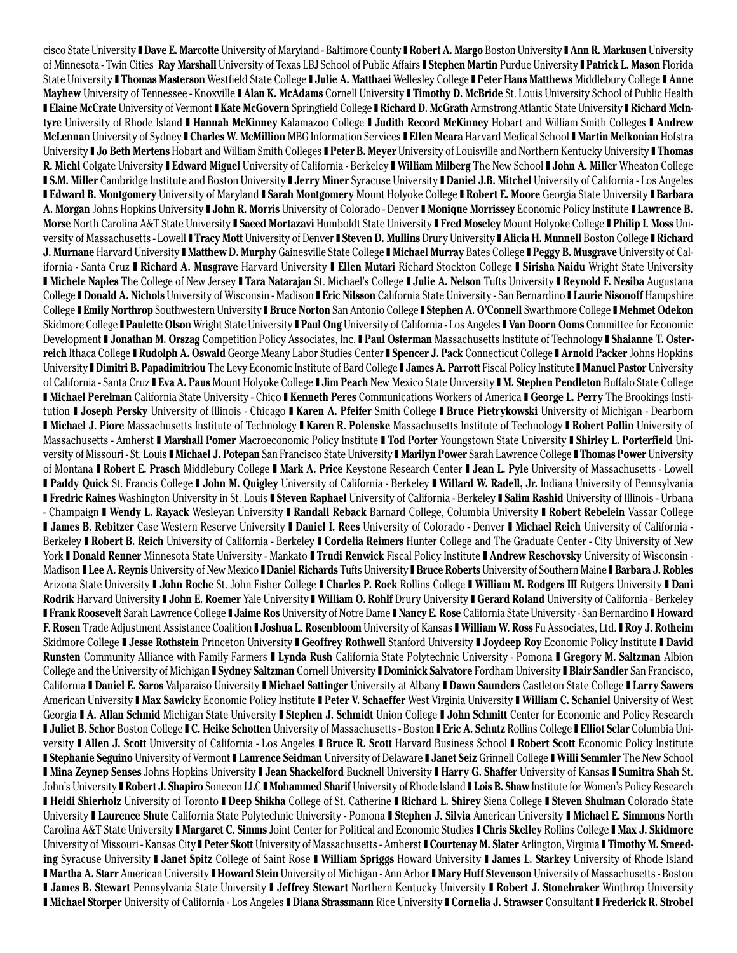cisco State University ❚ **Dave E. Marcotte** University of Maryland - Baltimore County ❚ **Robert A. Margo** Boston University ❚ **Ann R. Markusen** University of Minnesota - Twin Cities **Ray Marshall** University of Texas LBJ School of Public Affairs ❚ **Stephen Martin** Purdue University ❚ **Patrick L. Mason** Florida State University ❚ **Thomas Masterson** Westfield State College ❚ **Julie A. Matthaei** Wellesley College ❚ **Peter Hans Matthews** Middlebury College ❚ **Anne Mayhew** University of Tennessee - Knoxville ❚ **Alan K. McAdams** Cornell University ❚ **Timothy D. McBride** St. Louis University School of Public Health ❚ **Elaine McCrate** University of Vermont ❚ **Kate McGovern** Springfield College ❚ **Richard D. McGrath** Armstrong Atlantic State University ❚ **Richard McIntyre** University of Rhode Island ❚ **Hannah McKinney** Kalamazoo College ❚ **Judith Record McKinney** Hobart and William Smith Colleges ❚ **Andrew McLennan** University of Sydney ❚ **Charles W. McMillion** MBG Information Services ❚ **Ellen Meara** Harvard Medical School ❚ **Martin Melkonian** Hofstra University ❚ **Jo Beth Mertens** Hobart and William Smith Colleges ❚ **Peter B. Meyer** University of Louisville and Northern Kentucky University ❚ **Thomas R. Michl** Colgate University ❚ **Edward Miguel** University of California - Berkeley ❚ **William Milberg** The New School ❚ **John A. Miller** Wheaton College ❚ **S.M. Miller** Cambridge Institute and Boston University ❚ **Jerry Miner** Syracuse University ❚ **Daniel J.B. Mitchel** University of California - Los Angeles ❚ **Edward B. Montgomery** University of Maryland ❚ **Sarah Montgomery** Mount Holyoke College ❚ **Robert E. Moore** Georgia State University ❚ **Barbara A. Morgan** Johns Hopkins University ❚ **John R. Morris** University of Colorado - Denver ❚ **Monique Morrissey** Economic Policy Institute ❚ **Lawrence B. Morse** North Carolina A&T State University ❚ **Saeed Mortazavi** Humboldt State University ❚ **Fred Moseley** Mount Holyoke College ❚ **Philip I. Moss** University of Massachusetts - Lowell ❚ **Tracy Mott** University of Denver ❚ **Steven D. Mullins** Drury University ❚ **Alicia H. Munnell** Boston College ❚ **Richard J. Murnane** Harvard University ❚ **Matthew D. Murphy** Gainesville State College ❚ **Michael Murray** Bates College ❚ **Peggy B. Musgrave** University of California - Santa Cruz ❚ **Richard A. Musgrave** Harvard University ❚ **Ellen Mutari** Richard Stockton College ❚ **Sirisha Naidu** Wright State University ❚ **Michele Naples** The College of New Jersey ❚ **Tara Natarajan** St. Michael's College ❚ **Julie A. Nelson** Tufts University ❚ **Reynold F. Nesiba** Augustana College ❚ **Donald A. Nichols** University of Wisconsin - Madison ❚ **Eric Nilsson** California State University - San Bernardino ❚ **Laurie Nisonoff** Hampshire College ❚ **Emily Northrop** Southwestern University ❚ **Bruce Norton** San Antonio College ❚ **Stephen A. O'Connell** Swarthmore College ❚ **Mehmet Odekon** Skidmore College ❚ **Paulette Olson** Wright State University ❚ **Paul Ong** University of California - Los Angeles ❚ **Van Doorn Ooms** Committee for Economic Development ❚ **Jonathan M. Orszag** Competition Policy Associates, Inc. ❚ **Paul Osterman** Massachusetts Institute of Technology ❚ **Shaianne T. Osterreich** Ithaca College ❚ **Rudolph A. Oswald** George Meany Labor Studies Center ❚ **Spencer J. Pack** Connecticut College ❚ **Arnold Packer** Johns Hopkins University ❚ **Dimitri B. Papadimitriou** The Levy Economic Institute of Bard College ❚ **James A. Parrott** Fiscal Policy Institute ❚ **Manuel Pastor** University of California - Santa Cruz ❚ **Eva A. Paus** Mount Holyoke College ❚ **Jim Peach** New Mexico State University ❚ **M. Stephen Pendleton** Buffalo State College ❚ **Michael Perelman** California State University - Chico ❚ **Kenneth Peres** Communications Workers of America ❚ **George L. Perry** The Brookings Institution ❚ **Joseph Persky** University of Illinois - Chicago ❚ **Karen A. Pfeifer** Smith College ❚ **Bruce Pietrykowski** University of Michigan - Dearborn ❚ **Michael J. Piore** Massachusetts Institute of Technology ❚ **Karen R. Polenske** Massachusetts Institute of Technology ❚ **Robert Pollin** University of Massachusetts - Amherst ❚ **Marshall Pomer** Macroeconomic Policy Institute ❚ **Tod Porter** Youngstown State University ❚ **Shirley L. Porterfield** University of Missouri - St. Louis ❚ **Michael J. Potepan** San Francisco State University ❚ **Marilyn Power** Sarah Lawrence College ❚ **Thomas Power** University of Montana ❚ **Robert E. Prasch** Middlebury College ❚ **Mark A. Price** Keystone Research Center ❚ **Jean L. Pyle** University of Massachusetts - Lowell ■ Paddy Quick St. Francis College ■ John M. Quigley University of California - Berkeley ■ Willard W. Radell, Jr. Indiana University of Pennsylvania ■ Fredric Raines Washington University in St. Louis ■ Steven Raphael University of California - Berkeley ■ Salim Rashid University of Illinois - Urbana - Champaign ❚ **Wendy L. Rayack** Wesleyan University ❚ **Randall Reback** Barnard College, Columbia University ❚ **Robert Rebelein** Vassar College ❚ **James B. Rebitzer** Case Western Reserve University ❚ **Daniel I. Rees** University of Colorado - Denver ❚ **Michael Reich** University of California - Berkeley ❚ **Robert B. Reich** University of California - Berkeley ❚ **Cordelia Reimers** Hunter College and The Graduate Center - City University of New York ❚ **Donald Renner** Minnesota State University - Mankato ❚ **Trudi Renwick** Fiscal Policy Institute ❚ **Andrew Reschovsky** University of Wisconsin - Madison ❚ **Lee A. Reynis** University of New Mexico ❚ **Daniel Richards** Tufts University ❚ **Bruce Roberts** University of Southern Maine ❚ **Barbara J. Robles** Arizona State University ❚ **John Roche** St. John Fisher College ❚ **Charles P. Rock** Rollins College ❚ **William M. Rodgers III** Rutgers University ❚ **Dani Rodrik** Harvard University ❚ **John E. Roemer** Yale University ❚ **William O. Rohlf** Drury University ❚ **Gerard Roland** University of California - Berkeley ❚ **Frank Roosevelt** Sarah Lawrence College ❚ **Jaime Ros** University of Notre Dame ❚ **Nancy E. Rose** California State University - San Bernardino ❚ **Howard F. Rosen** Trade Adjustment Assistance Coalition ❚ **Joshua L. Rosenbloom** University of Kansas ❚ **William W. Ross** Fu Associates, Ltd. ❚ **Roy J. Rotheim** Skidmore College ❚ **Jesse Rothstein** Princeton University ❚ **Geoffrey Rothwell** Stanford University ❚ **Joydeep Roy** Economic Policy Institute ❚ **David Runsten** Community Alliance with Family Farmers ❚ **Lynda Rush** California State Polytechnic University - Pomona ❚ **Gregory M. Saltzman** Albion College and the University of Michigan ❚ **Sydney Saltzman** Cornell University ❚ **Dominick Salvatore** Fordham University ❚ **Blair Sandler** San Francisco, California ❚ **Daniel E. Saros** Valparaiso University ❚ **Michael Sattinger** University at Albany ❚ **Dawn Saunders** Castleton State College ❚ **Larry Sawers** American University ❚ **Max Sawicky** Economic Policy Institute ❚ **Peter V. Schaeffer** West Virginia University ❚ **William C. Schaniel** University of West Georgia ❚ **A. Allan Schmid** Michigan State University ❚ **Stephen J. Schmidt** Union College ❚ **John Schmitt** Center for Economic and Policy Research ❚ **Juliet B. Schor** Boston College ❚ **C. Heike Schotten** University of Massachusetts - Boston ❚ **Eric A. Schutz** Rollins College ❚ **Elliot Sclar** Columbia University ❚ **Allen J. Scott** University of California - Los Angeles ❚ **Bruce R. Scott** Harvard Business School ❚ **Robert Scott** Economic Policy Institute ❚ **Stephanie Seguino** University of Vermont ❚ **Laurence Seidman** University of Delaware ❚ **Janet Seiz** Grinnell College ❚ **Willi Semmler** The New School ❚ **Mina Zeynep Senses** Johns Hopkins University ❚ **Jean Shackelford** Bucknell University ❚ **Harry G. Shaffer** University of Kansas ❚ **Sumitra Shah** St. John's University ❚ **Robert J. Shapiro** Sonecon LLC ❚ **Mohammed Sharif** University of Rhode Island ❚ **Lois B. Shaw** Institute for Women's Policy Research ❚ **Heidi Shierholz** University of Toronto ❚ **Deep Shikha** College of St. Catherine ❚ **Richard L. Shirey** Siena College ❚ **Steven Shulman** Colorado State University ❚ **Laurence Shute** California State Polytechnic University - Pomona ❚ **Stephen J. Silvia** American University ❚ **Michael E. Simmons** North Carolina A&T State University ❚ **Margaret C. Simms** Joint Center for Political and Economic Studies ❚ **Chris Skelley** Rollins College ❚ **Max J. Skidmore** University of Missouri - Kansas City ❚ **Peter Skott** University of Massachusetts - Amherst ❚ **Courtenay M. Slater** Arlington, Virginia ❚ **Timothy M. Smeeding** Syracuse University ❚ **Janet Spitz** College of Saint Rose ❚ **William Spriggs** Howard University ❚ **James L. Starkey** University of Rhode Island ❚ **Martha A. Starr** American University ❚ **Howard Stein** University of Michigan - Ann Arbor ❚ **Mary Huff Stevenson** University of Massachusetts - Boston ❚ **James B. Stewart** Pennsylvania State University ❚ **Jeffrey Stewart** Northern Kentucky University ❚ **Robert J. Stonebraker** Winthrop University ❚ **Michael Storper** University of California - Los Angeles ❚ **Diana Strassmann** Rice University ❚ **Cornelia J. Strawser** Consultant ❚ **Frederick R. Strobel**